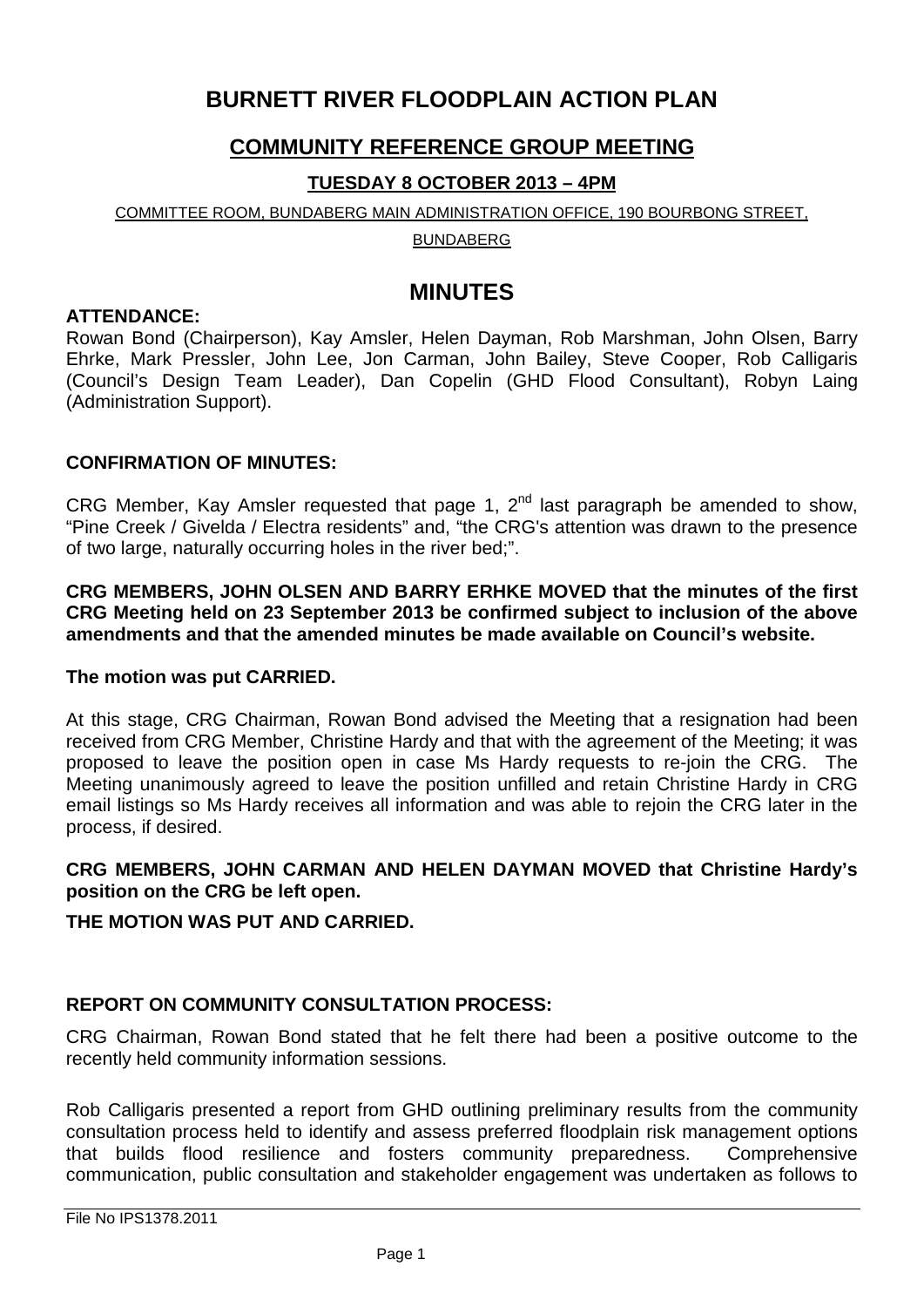# **BURNETT RIVER FLOODPLAIN ACTION PLAN**

# **COMMUNITY REFERENCE GROUP MEETING**

# **TUESDAY 8 OCTOBER 2013 – 4PM**

## COMMITTEE ROOM, BUNDABERG MAIN ADMINISTRATION OFFICE, 190 BOURBONG STREET,

BUNDABERG

# **MINUTES**

## **ATTENDANCE:**

Rowan Bond (Chairperson), Kay Amsler, Helen Dayman, Rob Marshman, John Olsen, Barry Ehrke, Mark Pressler, John Lee, Jon Carman, John Bailey, Steve Cooper, Rob Calligaris (Council's Design Team Leader), Dan Copelin (GHD Flood Consultant), Robyn Laing (Administration Support).

# **CONFIRMATION OF MINUTES:**

CRG Member, Kay Amsler requested that page 1,  $2^{nd}$  last paragraph be amended to show, "Pine Creek / Givelda / Electra residents" and, "the CRG's attention was drawn to the presence of two large, naturally occurring holes in the river bed;".

**CRG MEMBERS, JOHN OLSEN AND BARRY ERHKE MOVED that the minutes of the first CRG Meeting held on 23 September 2013 be confirmed subject to inclusion of the above amendments and that the amended minutes be made available on Council's website.**

# **The motion was put CARRIED.**

At this stage, CRG Chairman, Rowan Bond advised the Meeting that a resignation had been received from CRG Member, Christine Hardy and that with the agreement of the Meeting; it was proposed to leave the position open in case Ms Hardy requests to re-join the CRG. The Meeting unanimously agreed to leave the position unfilled and retain Christine Hardy in CRG email listings so Ms Hardy receives all information and was able to rejoin the CRG later in the process, if desired.

# **CRG MEMBERS, JOHN CARMAN AND HELEN DAYMAN MOVED that Christine Hardy's position on the CRG be left open.**

# **THE MOTION WAS PUT AND CARRIED.**

# **REPORT ON COMMUNITY CONSULTATION PROCESS:**

CRG Chairman, Rowan Bond stated that he felt there had been a positive outcome to the recently held community information sessions.

Rob Calligaris presented a report from GHD outlining preliminary results from the community consultation process held to identify and assess preferred floodplain risk management options that builds flood resilience and fosters community preparedness. Comprehensive communication, public consultation and stakeholder engagement was undertaken as follows to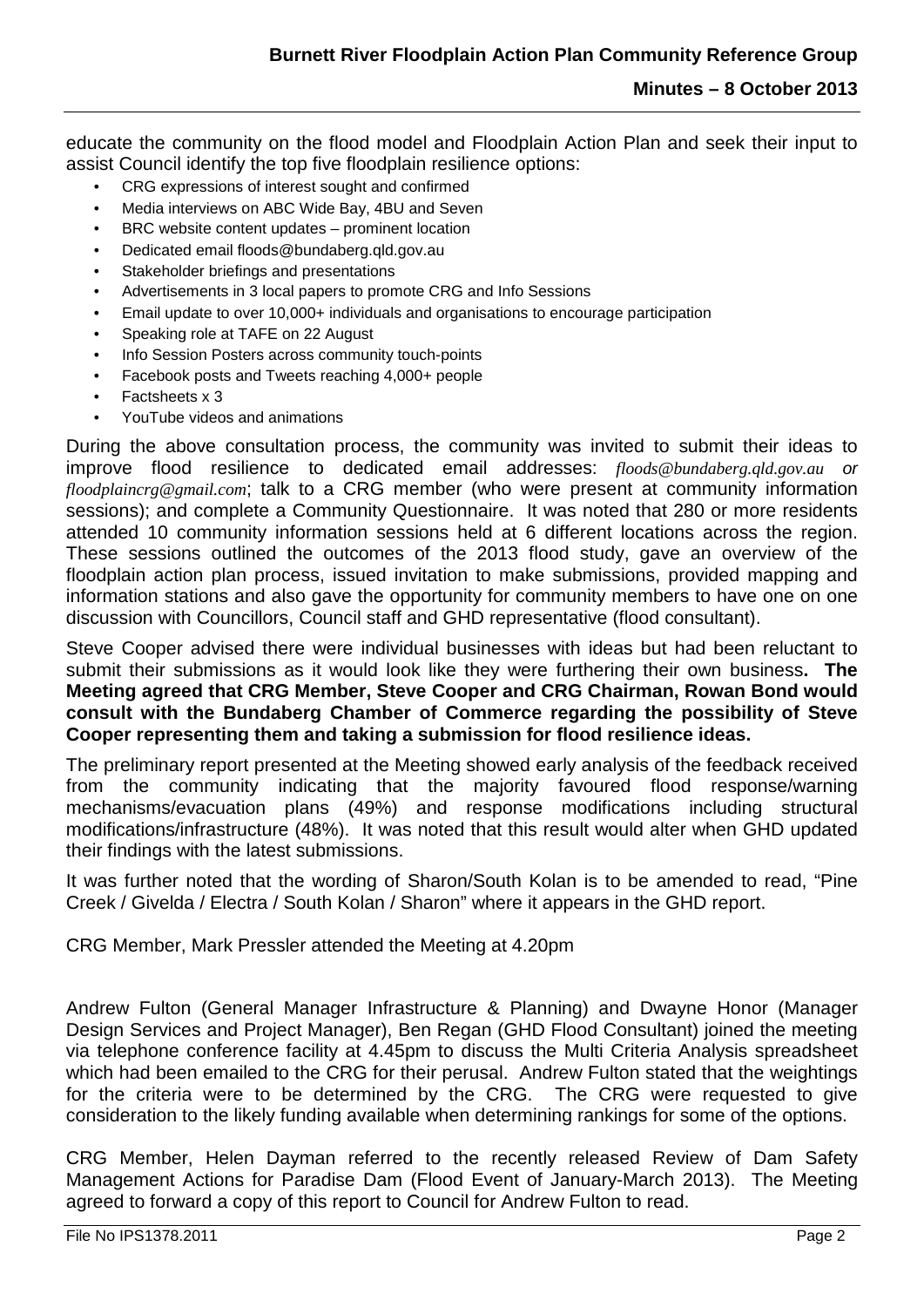educate the community on the flood model and Floodplain Action Plan and seek their input to assist Council identify the top five floodplain resilience options:

- CRG expressions of interest sought and confirmed
- Media interviews on ABC Wide Bay, 4BU and Seven
- BRC website content updates prominent location
- Dedicated email floods@bundaberg.qld.gov.au
- Stakeholder briefings and presentations
- Advertisements in 3 local papers to promote CRG and Info Sessions
- Email update to over 10,000+ individuals and organisations to encourage participation
- Speaking role at TAFE on 22 August
- Info Session Posters across community touch-points
- Facebook posts and Tweets reaching 4,000+ people
- Factsheets x 3
- YouTube videos and animations

During the above consultation process, the community was invited to submit their ideas to improve flood resilience to dedicated email addresses: *[floods@bundaberg.qld.gov.au](mailto:floods@bundaberg.qld.gov.au) or [floodplaincrg@gmail.com](mailto:floodplaincrg@gmail.com)*; talk to a CRG member (who were present at community information sessions); and complete a Community Questionnaire. It was noted that 280 or more residents attended 10 community information sessions held at 6 different locations across the region. These sessions outlined the outcomes of the 2013 flood study, gave an overview of the floodplain action plan process, issued invitation to make submissions, provided mapping and information stations and also gave the opportunity for community members to have one on one discussion with Councillors, Council staff and GHD representative (flood consultant).

Steve Cooper advised there were individual businesses with ideas but had been reluctant to submit their submissions as it would look like they were furthering their own business**. The Meeting agreed that CRG Member, Steve Cooper and CRG Chairman, Rowan Bond would consult with the Bundaberg Chamber of Commerce regarding the possibility of Steve Cooper representing them and taking a submission for flood resilience ideas.**

The preliminary report presented at the Meeting showed early analysis of the feedback received from the community indicating that the majority favoured flood response/warning mechanisms/evacuation plans (49%) and response modifications including structural modifications/infrastructure (48%). It was noted that this result would alter when GHD updated their findings with the latest submissions.

It was further noted that the wording of Sharon/South Kolan is to be amended to read, "Pine Creek / Givelda / Electra / South Kolan / Sharon" where it appears in the GHD report.

CRG Member, Mark Pressler attended the Meeting at 4.20pm

Andrew Fulton (General Manager Infrastructure & Planning) and Dwayne Honor (Manager Design Services and Project Manager), Ben Regan (GHD Flood Consultant) joined the meeting via telephone conference facility at 4.45pm to discuss the Multi Criteria Analysis spreadsheet which had been emailed to the CRG for their perusal. Andrew Fulton stated that the weightings for the criteria were to be determined by the CRG. The CRG were requested to give consideration to the likely funding available when determining rankings for some of the options.

CRG Member, Helen Dayman referred to the recently released Review of Dam Safety Management Actions for Paradise Dam (Flood Event of January-March 2013). The Meeting agreed to forward a copy of this report to Council for Andrew Fulton to read.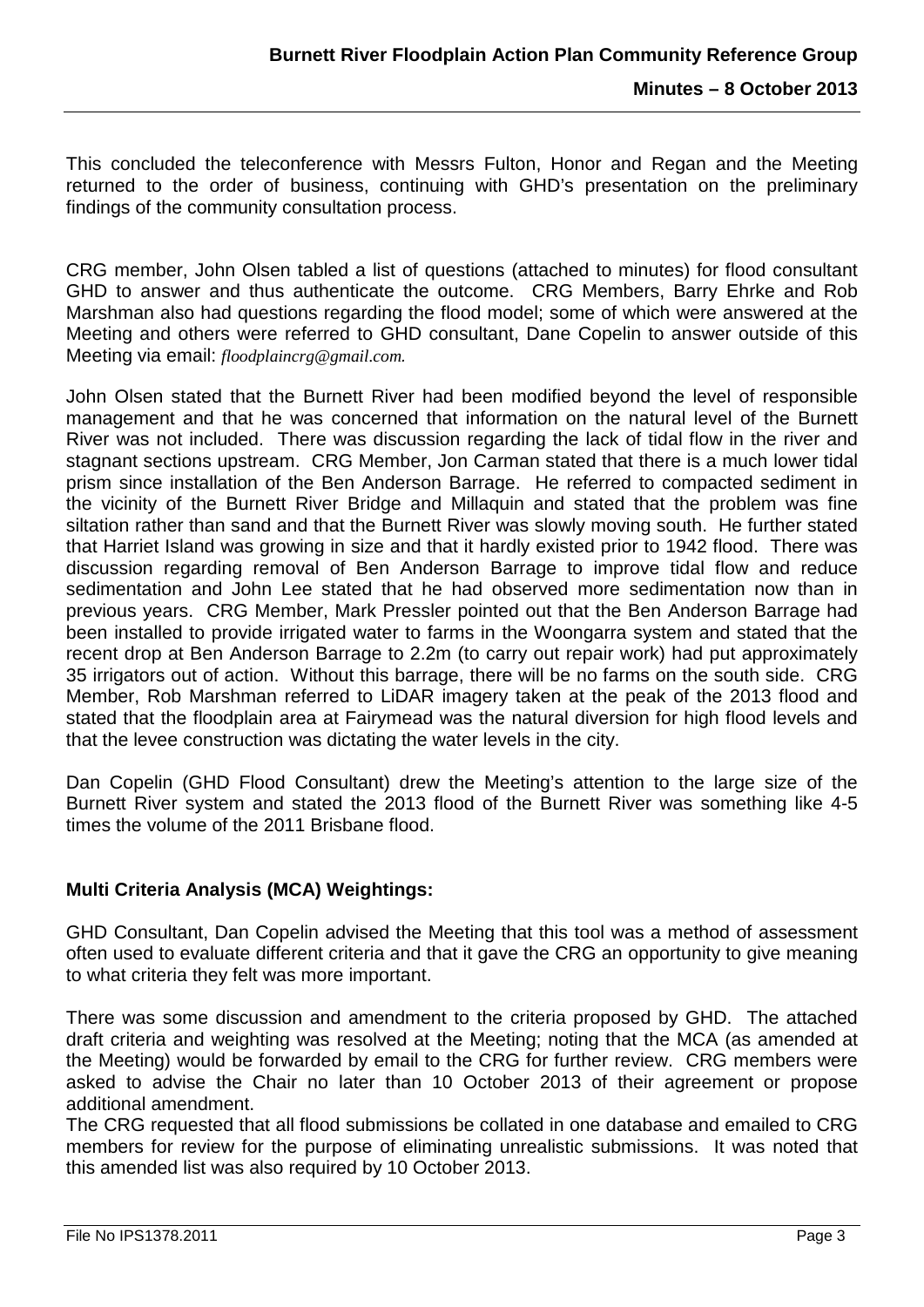This concluded the teleconference with Messrs Fulton, Honor and Regan and the Meeting returned to the order of business, continuing with GHD's presentation on the preliminary findings of the community consultation process.

CRG member, John Olsen tabled a list of questions (attached to minutes) for flood consultant GHD to answer and thus authenticate the outcome. CRG Members, Barry Ehrke and Rob Marshman also had questions regarding the flood model; some of which were answered at the Meeting and others were referred to GHD consultant, Dane Copelin to answer outside of this Meeting via email: *[floodplaincrg@gmail.com](mailto:floodplaincrg@gmail.com).* 

John Olsen stated that the Burnett River had been modified beyond the level of responsible management and that he was concerned that information on the natural level of the Burnett River was not included. There was discussion regarding the lack of tidal flow in the river and stagnant sections upstream. CRG Member, Jon Carman stated that there is a much lower tidal prism since installation of the Ben Anderson Barrage. He referred to compacted sediment in the vicinity of the Burnett River Bridge and Millaquin and stated that the problem was fine siltation rather than sand and that the Burnett River was slowly moving south. He further stated that Harriet Island was growing in size and that it hardly existed prior to 1942 flood. There was discussion regarding removal of Ben Anderson Barrage to improve tidal flow and reduce sedimentation and John Lee stated that he had observed more sedimentation now than in previous years. CRG Member, Mark Pressler pointed out that the Ben Anderson Barrage had been installed to provide irrigated water to farms in the Woongarra system and stated that the recent drop at Ben Anderson Barrage to 2.2m (to carry out repair work) had put approximately 35 irrigators out of action. Without this barrage, there will be no farms on the south side. CRG Member, Rob Marshman referred to LiDAR imagery taken at the peak of the 2013 flood and stated that the floodplain area at Fairymead was the natural diversion for high flood levels and that the levee construction was dictating the water levels in the city.

Dan Copelin (GHD Flood Consultant) drew the Meeting's attention to the large size of the Burnett River system and stated the 2013 flood of the Burnett River was something like 4-5 times the volume of the 2011 Brisbane flood.

# **Multi Criteria Analysis (MCA) Weightings:**

GHD Consultant, Dan Copelin advised the Meeting that this tool was a method of assessment often used to evaluate different criteria and that it gave the CRG an opportunity to give meaning to what criteria they felt was more important.

There was some discussion and amendment to the criteria proposed by GHD. The attached draft criteria and weighting was resolved at the Meeting; noting that the MCA (as amended at the Meeting) would be forwarded by email to the CRG for further review. CRG members were asked to advise the Chair no later than 10 October 2013 of their agreement or propose additional amendment.

The CRG requested that all flood submissions be collated in one database and emailed to CRG members for review for the purpose of eliminating unrealistic submissions. It was noted that this amended list was also required by 10 October 2013.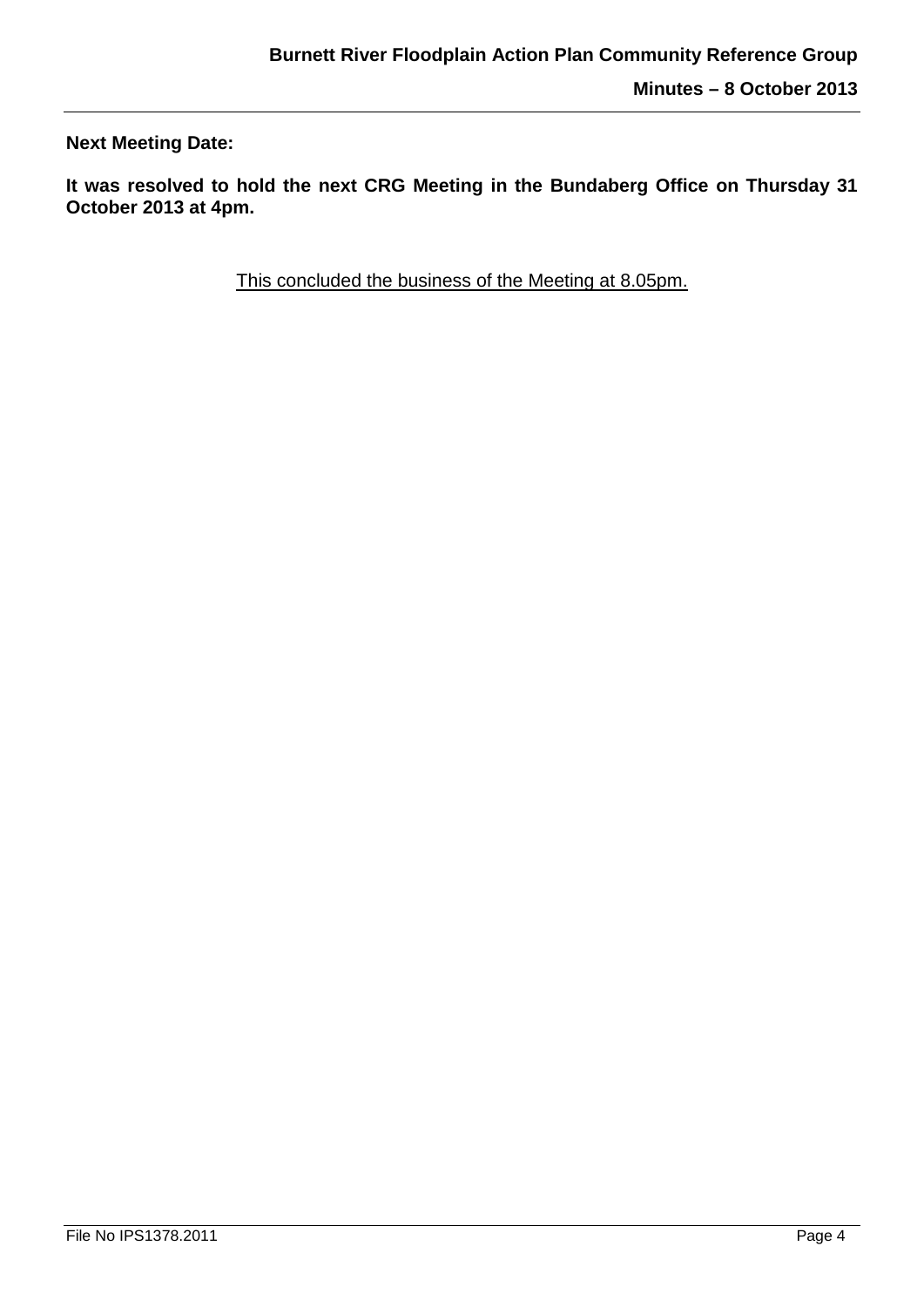**Next Meeting Date:**

**It was resolved to hold the next CRG Meeting in the Bundaberg Office on Thursday 31 October 2013 at 4pm.**

This concluded the business of the Meeting at 8.05pm.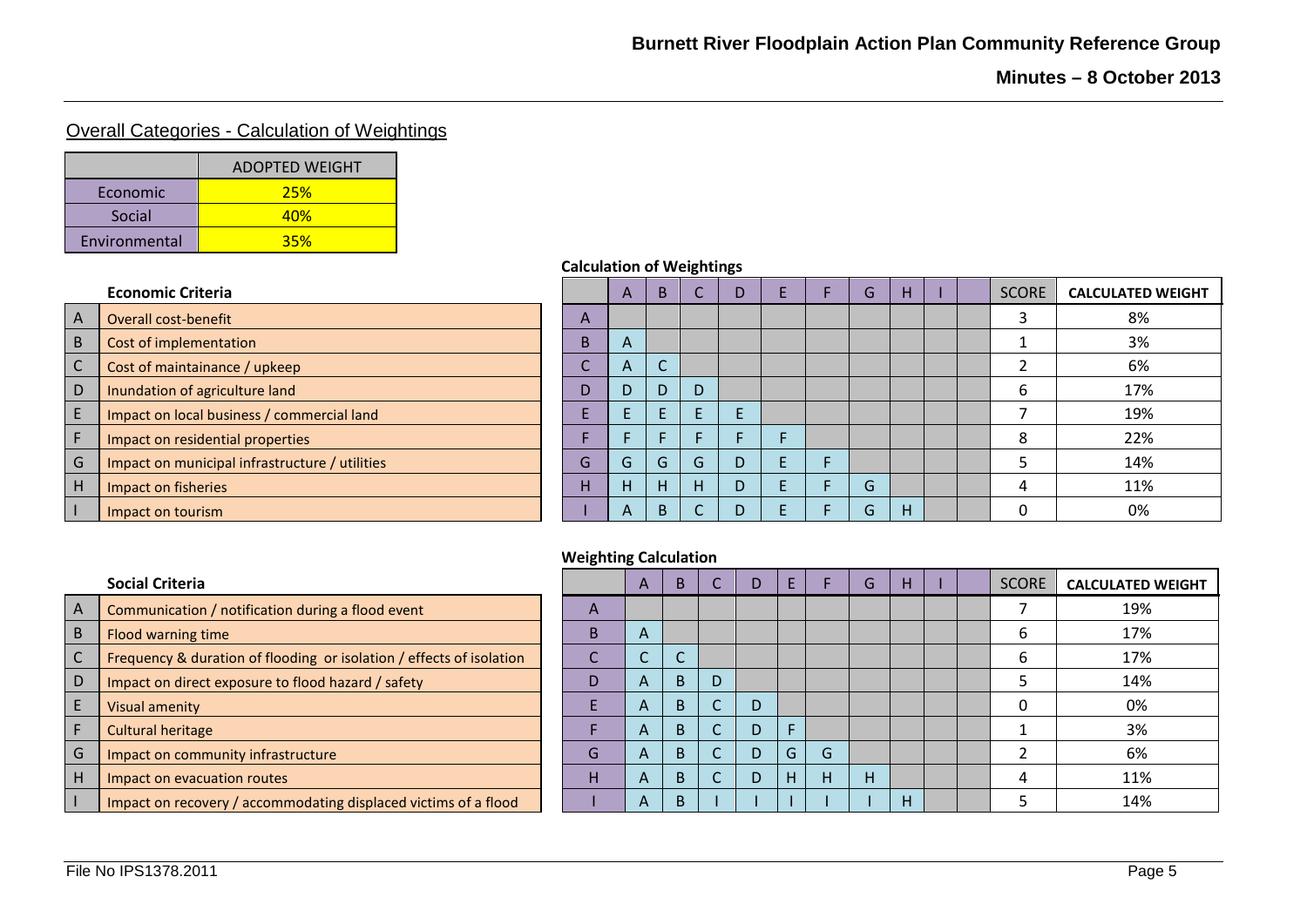# Overall Categories - Calculation of Weightings

|               | <b>ADOPTED WEIGHT</b> |
|---------------|-----------------------|
| Economic      | 25%                   |
| Social        | 40 <sub>%</sub>       |
| Environmental | 35%                   |

| A              | Overall cost-benefit                           |
|----------------|------------------------------------------------|
| B              | Cost of implementation                         |
| $\mathsf{C}$   | Cost of maintainance / upkeep                  |
| D              | Inundation of agriculture land                 |
| $\mathsf E$    | Impact on local business / commercial land     |
| $\overline{F}$ | Impact on residential properties               |
| G              | Impact on municipal infrastructure / utilities |
| H              | Impact on fisheries                            |
|                | mpact on tourism                               |

## **Calculation of Weightings**

|   | <b>Economic Criteria</b>                       |   | $\mathsf{A}$ | B. |   | D |  | G            | H. |  | <b>SCORE</b> | <b>CALCULATED WEIGHT</b> |
|---|------------------------------------------------|---|--------------|----|---|---|--|--------------|----|--|--------------|--------------------------|
|   | Overall cost-benefit                           | A |              |    |   |   |  |              |    |  |              | 8%                       |
|   | Cost of implementation                         | B | $\mathsf{A}$ |    |   |   |  |              |    |  |              | 3%                       |
|   | Cost of maintainance / upkeep                  |   | $\mathsf{A}$ |    |   |   |  |              |    |  |              | 6%                       |
| D | Inundation of agriculture land                 | D |              | D  | D |   |  |              |    |  | h            | 17%                      |
|   | Impact on local business / commercial land     |   |              |    |   |   |  |              |    |  |              | 19%                      |
|   | Impact on residential properties               |   |              |    |   |   |  |              |    |  | 8            | 22%                      |
| G | Impact on municipal infrastructure / utilities | G | G.           | G  | G | D |  |              |    |  |              | 14%                      |
| ш | Impact on fisheries                            | н | н.           | н  | H |   |  | G            |    |  | 4            | 11%                      |
|   | Impact on tourism                              |   | $\mathbf{A}$ | R. |   |   |  | $\mathsf{L}$ | H  |  |              | 0%                       |

### **Weighting Calculation**

|             | Social Criteria                                                      |
|-------------|----------------------------------------------------------------------|
| A           | Communication / notification during a flood event                    |
| B           | Flood warning time                                                   |
| $\mathsf C$ | Frequency & duration of flooding or isolation / effects of isolation |
| D           | Impact on direct exposure to flood hazard / safety                   |
| E           | Visual amenity                                                       |
| F           | <b>Cultural heritage</b>                                             |
| G           | Impact on community infrastructure                                   |
| Н           | Impact on evacuation routes                                          |
|             | Impact on recovery / accommodating displaced victims of a flood      |
|             |                                                                      |

|   | Social Criteria                                                      |              | A              | B            |   | D |    |   | G | н |  | <b>SCORE</b> | <b>CALCULATED WEIGHT</b> |
|---|----------------------------------------------------------------------|--------------|----------------|--------------|---|---|----|---|---|---|--|--------------|--------------------------|
|   | Communication / notification during a flood event                    | $\mathsf{A}$ |                |              |   |   |    |   |   |   |  |              | 19%                      |
|   | Flood warning time                                                   | B.           | $\overline{A}$ |              |   |   |    |   |   |   |  | b            | 17%                      |
|   | Frequency & duration of flooding or isolation / effects of isolation |              |                |              |   |   |    |   |   |   |  | h            | 17%                      |
| D | Impact on direct exposure to flood hazard / safety                   | D            | $\mathsf{A}$   | <sub>B</sub> | D |   |    |   |   |   |  |              | 14%                      |
|   | Visual amenity                                                       |              | $\mathsf{A}$   | <sub>B</sub> |   | D |    |   |   |   |  |              | 0%                       |
|   | <b>Cultural heritage</b>                                             |              | $\overline{A}$ | <sub>B</sub> |   | D |    |   |   |   |  |              | 3%                       |
|   | Impact on community infrastructure                                   | G            | $\mathsf{A}$   | B.           |   | D | G. | G |   |   |  |              | 6%                       |
| н | Impact on evacuation routes                                          | н            | $\mathsf{A}$   | B            |   | D |    |   | н |   |  | 4            | 11%                      |
|   | Impact on recovery / accommodating displaced victims of a flood      |              | A              | D<br>D       |   |   |    |   |   | н |  |              | 14%                      |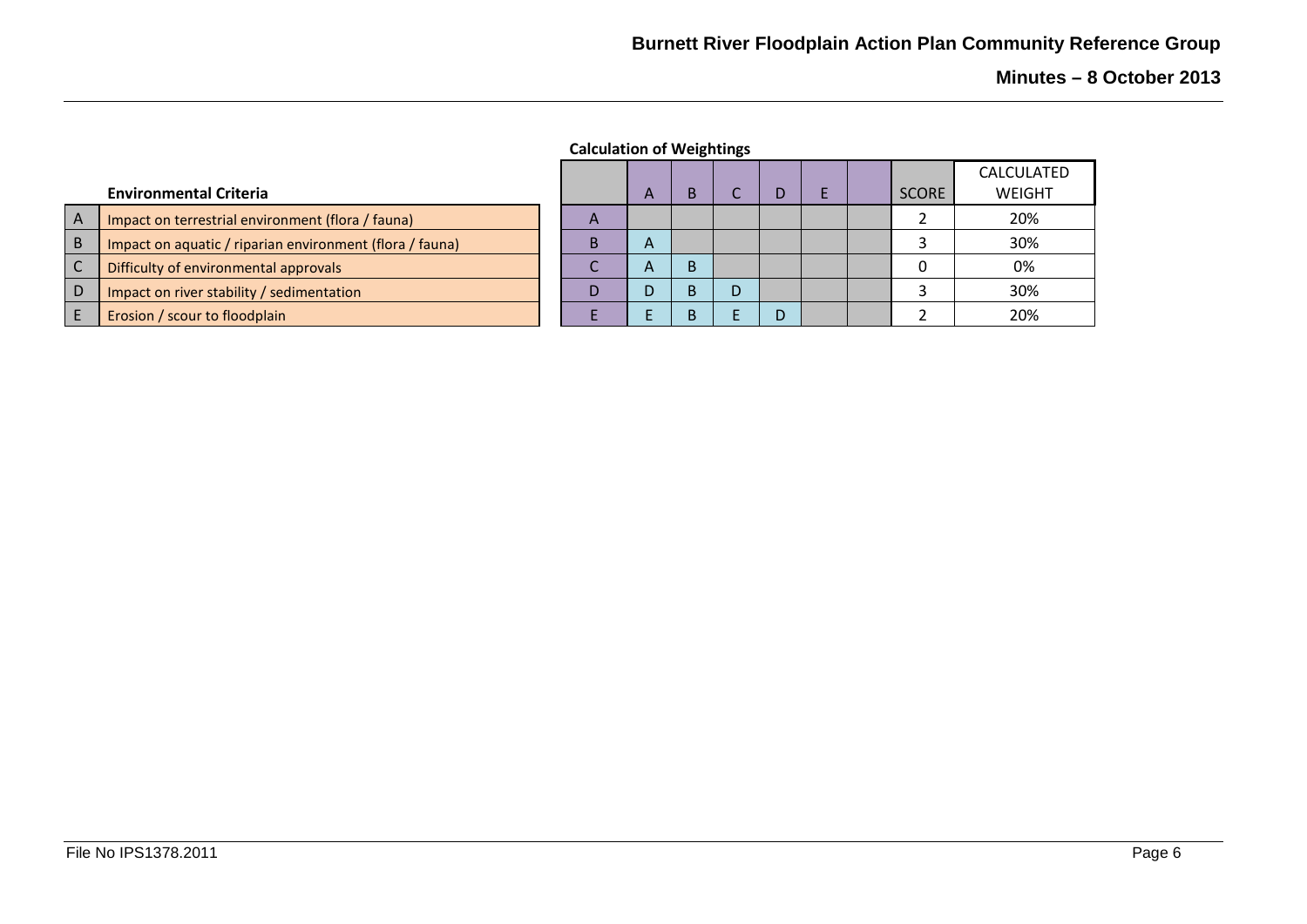**Minutes – 8 October 2013**

|  | <b>Calculation of Weightings</b> |
|--|----------------------------------|
|--|----------------------------------|

|              |                                                          |                           |              |   |   |  |              | <b>CALCULATED</b> |
|--------------|----------------------------------------------------------|---------------------------|--------------|---|---|--|--------------|-------------------|
|              | <b>Environmental Criteria</b>                            |                           | $\mathsf{A}$ |   |   |  | <b>SCORE</b> | WEIGHT            |
| A            | Impact on terrestrial environment (flora / fauna)        | $\boldsymbol{\mathsf{A}}$ |              |   |   |  |              | 20%               |
| $\mathsf{B}$ | Impact on aquatic / riparian environment (flora / fauna) | В                         | A            |   |   |  |              | 30%               |
| $\mathsf{C}$ | Difficulty of environmental approvals                    |                           | $\mathsf{A}$ | B |   |  |              | 0%                |
| D            | Impact on river stability / sedimentation                | D                         |              |   |   |  |              | 30%               |
|              | Erosion / scour to floodplain                            |                           |              |   | D |  |              | 20%               |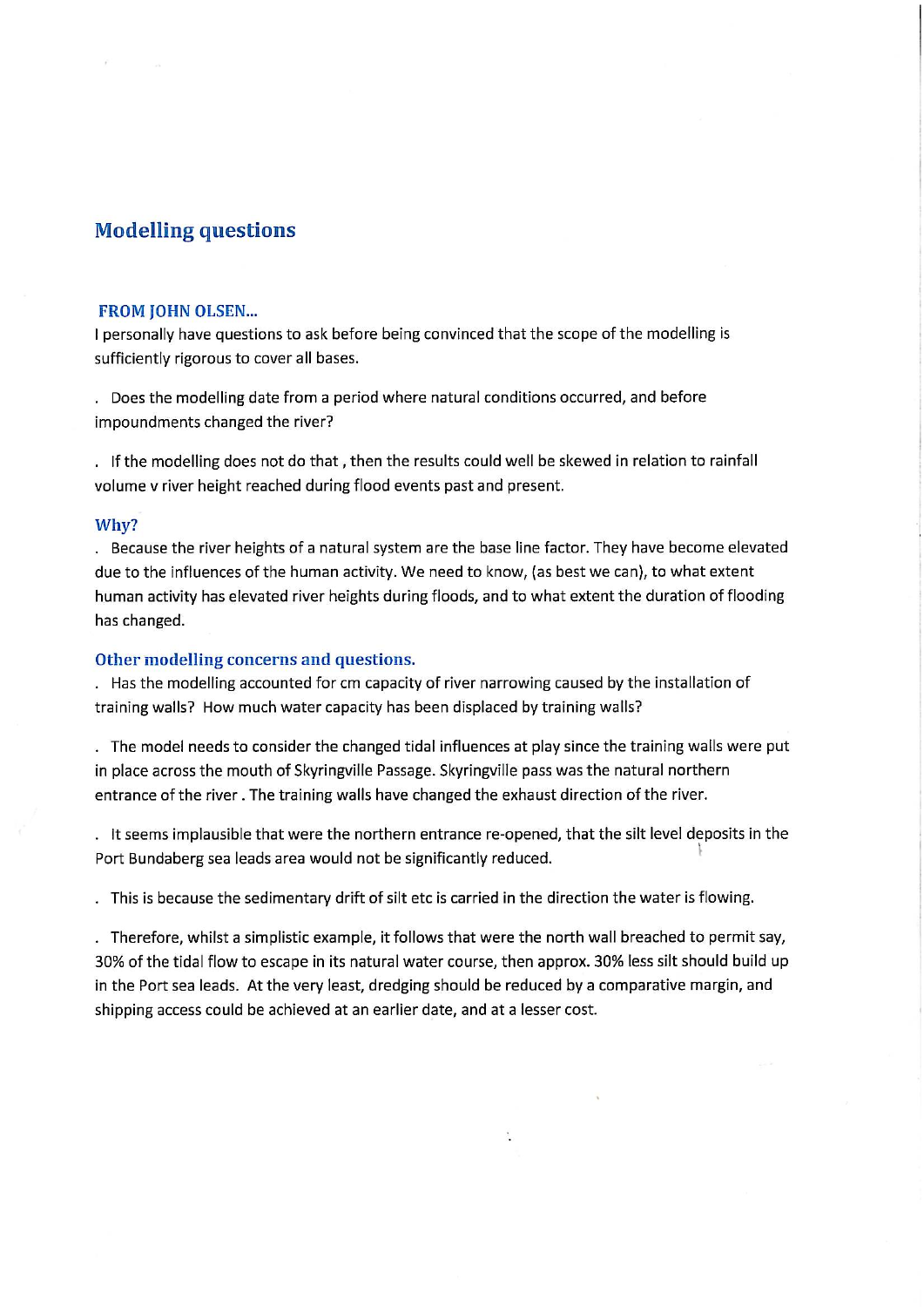# **Modelling questions**

#### **FROM JOHN OLSEN...**

I personally have questions to ask before being convinced that the scope of the modelling is sufficiently rigorous to cover all bases.

. Does the modelling date from a period where natural conditions occurred, and before impoundments changed the river?

. If the modelling does not do that, then the results could well be skewed in relation to rainfall volume v river height reached during flood events past and present.

#### Why?

. Because the river heights of a natural system are the base line factor. They have become elevated due to the influences of the human activity. We need to know, (as best we can), to what extent human activity has elevated river heights during floods, and to what extent the duration of flooding has changed.

#### Other modelling concerns and questions.

. Has the modelling accounted for cm capacity of river narrowing caused by the installation of training walls? How much water capacity has been displaced by training walls?

. The model needs to consider the changed tidal influences at play since the training walls were put in place across the mouth of Skyringville Passage. Skyringville pass was the natural northern entrance of the river. The training walls have changed the exhaust direction of the river.

. It seems implausible that were the northern entrance re-opened, that the silt level deposits in the Port Bundaberg sea leads area would not be significantly reduced.

. This is because the sedimentary drift of silt etc is carried in the direction the water is flowing.

. Therefore, whilst a simplistic example, it follows that were the north wall breached to permit say, 30% of the tidal flow to escape in its natural water course, then approx. 30% less silt should build up in the Port sea leads. At the very least, dredging should be reduced by a comparative margin, and shipping access could be achieved at an earlier date, and at a lesser cost.

 $\mathcal{L}_{\mathcal{L}}$